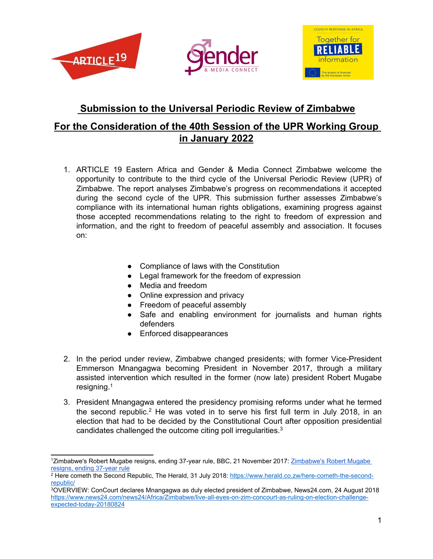





# **Submission to the Universal Periodic Review of Zimbabwe**

# **For the Consideration of the 40th Session of the UPR Working Group in January 2022**

- 1. ARTICLE 19 Eastern Africa and Gender & Media Connect Zimbabwe welcome the opportunity to contribute to the third cycle of the Universal Periodic Review (UPR) of Zimbabwe. The report analyses Zimbabwe'<sup>s</sup> progress on recommendations it accepted during the second cycle of the UPR. This submission further assesses Zimbabwe'<sup>s</sup> compliance with its international human rights obligations, examining progress against those accepted recommendations relating to the right to freedom of expression and information, and the right to freedom of peaceful assembly and association. It focuses on:
	- Compliance of laws with the Constitution
	- Legal framework for the freedom of expression
	- Media and freedom
	- Online expression and privacy
	- Freedom of peaceful assembly
	- Safe and enabling environment for journalists and human rights defenders
	- Enforced disappearances
- 2. In the period under review, Zimbabwe changed presidents; with former Vice-President Emmerson Mnangagwa becoming President in November 2017, through <sup>a</sup> military assisted intervention which resulted in the former (now late) president Robert Mugabe resigning. 1
- 3. President Mnangagwa entered the presidency promising reforms under what he termed the second republic.<sup>2</sup> He was voted in to serve his first full term in July 2018, in an election that had to be decided by the Constitutional Court after opposition presidential candidates challenged the outcome citing poll irregularities. $^3$

<sup>&</sup>lt;sup>1</sup>[Zimbabwe's](https://www.bbc.com/news/world-africa-42071488) Robert Mugabe resigns, ending 37-year rule, BBC, 21 November 2017: Zimbabwe's Robert Mugabe resigns, ending [37-year](https://www.bbc.com/news/world-africa-42071488) rule

<sup>2</sup> Here cometh the Second Republic, The Herald, 31 July 2018: [https://www.herald.co.zw/here-cometh-the-second](https://www.herald.co.zw/here-cometh-the-second-republic/)[republic/](https://www.herald.co.zw/here-cometh-the-second-republic/)

<sup>3</sup>OVERVIEW: ConCourt declares Mnangagwa as duly elected president of Zimbabwe, News24.com, 24 August 2018 [https://www.news24.com/news24/Africa/Zimbabwe/live-all-eyes-on-zim-concourt-as-ruling-on-election-challenge](https://www.news24.com/news24/Africa/Zimbabwe/live-all-eyes-on-zim-concourt-as-ruling-on-election-challenge-expected-today-20180824)[expected-today-20180824](https://www.news24.com/news24/Africa/Zimbabwe/live-all-eyes-on-zim-concourt-as-ruling-on-election-challenge-expected-today-20180824)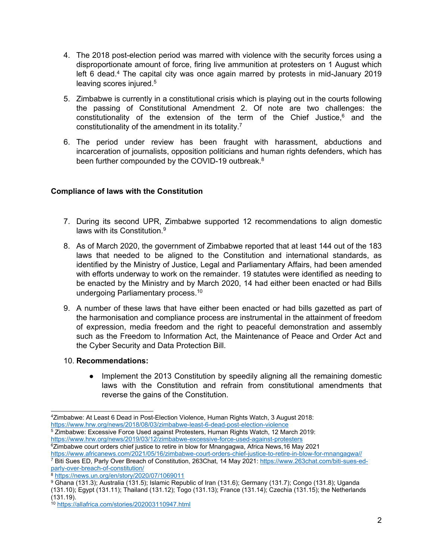- 4. The 2018 post-election period was marred with violence with the security forces using <sup>a</sup> disproportionate amount of force, firing live ammunition at protesters on 1 August which left 6 dead. 4 The capital city was once again marred by protests in mid-January 2019 leaving scores injured. 5
- 5. Zimbabwe is currently in <sup>a</sup> constitutional crisis which is playing out in the courts following the passing of Constitutional Amendment 2. Of note are two challenges: the constitutionality of the extension of the term of the Chief Justice, 6 and the constitutionality of the amendment in its totality. $^7$
- 6. The period under review has been fraught with harassment, abductions and incarceration of journalists, opposition politicians and human rights defenders, which has been further compounded by the COVID-19 outbreak. $^8$

# **Compliance of laws with the Constitution**

- 7. During its second UPR, Zimbabwe supported 12 recommendations to align domestic laws with its Constitution.<sup>9</sup>
- 8. As of March 2020, the government of Zimbabwe reported that at least 144 out of the 183 laws that needed to be aligned to the Constitution and international standards, as identified by the Ministry of Justice, Legal and Parliamentary Affairs, had been amended with efforts underway to work on the remainder. 19 statutes were identified as needing to be enacted by the Ministry and by March 2020, 14 had either been enacted or had Bills undergoing Parliamentary process.<sup>10</sup>
- 9. A number of these laws that have either been enacted or had bills gazetted as part of the harmonisation and compliance process are instrumental in the attainment of freedom of expression, media freedom and the right to peaceful demonstration and assembly such as the Freedom to Information Act, the Maintenance of Peace and Order Act and the Cyber Security and Data Protection Bill.
- 10. **Recommendations:**
	- **●** Implement the 2013 Constitution by speedily aligning all the remaining domestic laws with the Constitution and refrain from constitutional amendments that reverse the gains of the Constitution.

5 Zimbabwe: Excessive Force Used against Protesters, Human Rights Watch, 12 March 2019: <https://www.hrw.org/news/2019/03/12/zimbabwe-excessive-force-used-against-protesters> 6 Zimbabwe court orders chief justice to retire in blow for Mnangagwa, Africa News,16 May 2021

<sup>9</sup> Ghana (131.3); Australia (131.5); Islamic Republic of Iran (131.6); Germany (131.7); Congo (131.8); Uganda

<sup>4</sup> Zimbabwe: At Least 6 Dead in Post-Election Violence, Human Rights Watch, 3 August 2018: <https://www.hrw.org/news/2018/08/03/zimbabwe-least-6-dead-post-election-violence>

<https://www.africanews.com/2021/05/16/zimbabwe-court-orders-chief-justice-to-retire-in-blow-for-mnangagwa//> <sup>7</sup> Biti Sues ED, Parly Over Breach of Constitution, 263Chat, 14 May 2021: [https://www.263chat.com/biti-sues-ed](https://www.263chat.com/biti-sues-ed-parly-over-breach-of-constitution/)[parly-over-breach-of-constitution/](https://www.263chat.com/biti-sues-ed-parly-over-breach-of-constitution/)

<sup>8</sup> <https://news.un.org/en/story/2020/07/1069011>

<sup>(131.10);</sup> Egypt (131.11); Thailand (131.12); Togo (131.13); France (131.14); Czechia (131.15); the Netherlands (131.19).

<sup>10</sup> <https://allafrica.com/stories/202003110947.html>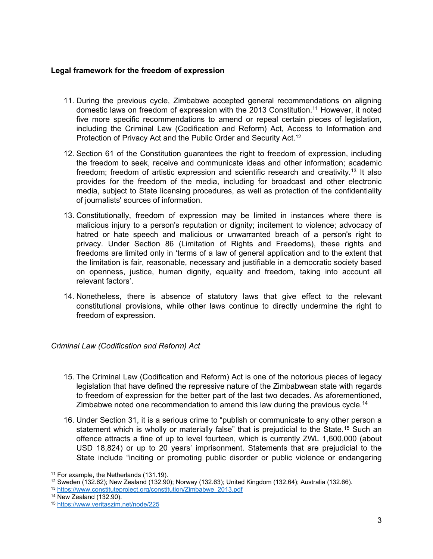### **Legal framework for the freedom of expression**

- 11. During the previous cycle, Zimbabwe accepted general recommendations on aligning domestic laws on freedom of expression with the 2013 Constitution. <sup>11</sup> However, it noted five more specific recommendations to amend or repeal certain pieces of legislation, including the Criminal Law (Codification and Reform) Act, Access to Information and Protection of Privacy Act and the Public Order and Security Act. 12
- 12. Section 61 of the Constitution guarantees the right to freedom of expression, including the freedom to seek, receive and communicate ideas and other information; academic freedom; freedom of artistic expression and scientific research and creativity.<sup>13</sup> It also provides for the freedom of the media, including for broadcast and other electronic media, subject to State licensing procedures, as well as protection of the confidentiality of journalists' sources of information.
- 13. Constitutionally, freedom of expression may be limited in instances where there is malicious injury to <sup>a</sup> person's reputation or dignity; incitement to violence; advocacy of hatred or hate speech and malicious or unwarranted breach of <sup>a</sup> person's right to privacy. Under Section 86 (Limitation of Rights and Freedoms), these rights and freedoms are limited only in 'terms of <sup>a</sup> law of general application and to the extent that the limitation is fair, reasonable, necessary and justifiable in <sup>a</sup> democratic society based on openness, justice, human dignity, equality and freedom, taking into account all relevant factors'.
- 14. Nonetheless, there is absence of statutory laws that give effect to the relevant constitutional provisions, while other laws continue to directly undermine the right to freedom of expression.

# *Criminal Law (Codification and Reform) Act*

- 15. The Criminal Law (Codification and Reform) Act is one of the notorious pieces of legacy legislation that have defined the repressive nature of the Zimbabwean state with regards to freedom of expression for the better part of the last two decades. As aforementioned, Zimbabwe noted one recommendation to amend this law during the previous cycle.<sup>14</sup>
- 16. Under Section 31, it is <sup>a</sup> serious crime to "publish or communicate to any other person <sup>a</sup> statement which is wholly or materially false" that is prejudicial to the State. <sup>15</sup> Such an offence attracts <sup>a</sup> fine of up to level fourteen, which is currently ZWL 1,600,000 (about USD 18,824) or up to 20 years' imprisonment. Statements that are prejudicial to the State include "inciting or promoting public disorder or public violence or endangering

<sup>11</sup> For example, the Netherlands (131.19).

<sup>12</sup> Sweden (132.62); New Zealand (132.90); Norway (132.63); United Kingdom (132.64); Australia (132.66).

<sup>&</sup>lt;sup>13</sup> [https://www.constituteproject.org/constitution/Zimbabwe\\_2013.pdf](https://www.constituteproject.org/constitution/Zimbabwe_2013.pdf)

<sup>14</sup> New Zealand (132.90).

<sup>15</sup> <https://www.veritaszim.net/node/225>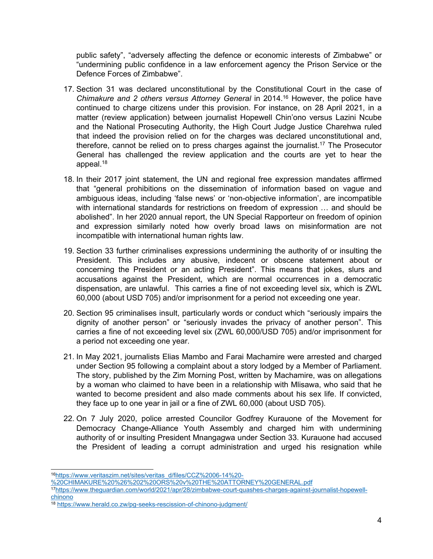public safety", "adversely affecting the defence or economic interests of Zimbabwe" or "undermining public confidence in <sup>a</sup> law enforcement agency the Prison Service or the Defence Forces of Zimbabwe".

- 17. Section 31 was declared unconstitutional by the Constitutional Court in the case of *Chimakure and 2 others versus Attorney General* in 2014. <sup>16</sup> However, the police have continued to charge citizens under this provision. For instance, on 28 April 2021, in <sup>a</sup> matter (review application) between journalist Hopewell Chin'ono versus Lazini Ncube and the National Prosecuting Authority, the High Court Judge Justice Charehwa ruled that indeed the provision relied on for the charges was declared unconstitutional and, therefore, [cannot](https://amp.theguardian.com/world/2021/apr/28/zimbabwe-court-quashes-charges-against-journalist-hopewell-chinono) be relied on to press charges against the journalist.<sup>17</sup> The Prosecutor General has challenged the review application and the courts are yet to hear the appeal. 18
- 18. In their 2017 joint statement, the UN and regional free expression mandates affirmed that "general prohibitions on the dissemination of information based on vague and ambiguous ideas, including 'false news' or 'non-objective information', are incompatible with international standards for restrictions on freedom of expression … and should be abolished". In her 2020 annual report, the UN Special Rapporteur on freedom of opinion and expression similarly noted how overly broad laws on misinformation are not incompatible with international human rights law.
- 19. Section 33 further criminalises expressions undermining the authority of or insulting the President. This includes any abusive, indecent or obscene statement about or concerning the President or an acting President". This means that jokes, slurs and accusations against the President, which are normal occurrences in <sup>a</sup> democratic dispensation, are unlawful. This carries <sup>a</sup> fine of not exceeding level six, which is ZWL 60,000 (about USD 705) and/or imprisonment for <sup>a</sup> period not exceeding one year.
- 20. Section 95 criminalises insult, particularly words or conduct which "seriously impairs the dignity of another person" or "seriously invades the privacy of another person". This carries <sup>a</sup> fine of not exceeding level six (ZWL 60,000/USD 705) and/or imprisonment for <sup>a</sup> period not exceeding one year.
- 21. In May 2021, journalists Elias Mambo and Farai Machamire were arrested and charged under Section 95 following <sup>a</sup> complaint about <sup>a</sup> story lodged by <sup>a</sup> Member of Parliament. The story, published by the Zim Morning Post, written by Machamire, was on allegations by <sup>a</sup> woman who claimed to have been in <sup>a</sup> relationship with Mlisawa, who said that he wanted to become president and also made comments about his sex life. If convicted, they face up to one year in jail or <sup>a</sup> fine of ZWL 60,000 (about USD 705).
- 22. On 7 July 2020, police arrested Councilor Godfrey Kurauone of the Movement for Democracy Change-Alliance Youth Assembly and charged him with undermining authority of or insulting President Mnangagwa under Section 33. Kurauone had accused the President of leading <sup>a</sup> corrupt administration and urged his resignation while

<sup>16</sup> [https://www.veritaszim.net/sites/veritas\\_d/files/CCZ%2006-14%20-](https://www.veritaszim.net/sites/veritas_d/files/CCZ%2006-14%20-%20CHIMAKURE%20%26%202%20ORS%20v%20THE%20ATTORNEY%20GENERAL.pdf)

[<sup>%20</sup>CHIMAKURE%20%26%202%20ORS%20v%20THE%20ATTORNEY%20GENERAL.pdf](https://www.veritaszim.net/sites/veritas_d/files/CCZ%2006-14%20-%20CHIMAKURE%20%26%202%20ORS%20v%20THE%20ATTORNEY%20GENERAL.pdf)

<sup>17</sup> [https://www.theguardian.com/world/2021/apr/28/zimbabwe-court-quashes-charges-against-journalist-hopewell](https://www.theguardian.com/world/2021/apr/28/zimbabwe-court-quashes-charges-against-journalist-hopewell-chinono)[chinono](https://www.theguardian.com/world/2021/apr/28/zimbabwe-court-quashes-charges-against-journalist-hopewell-chinono)

<sup>18</sup> <https://www.herald.co.zw/pg-seeks-rescission-of-chinono-judgment/>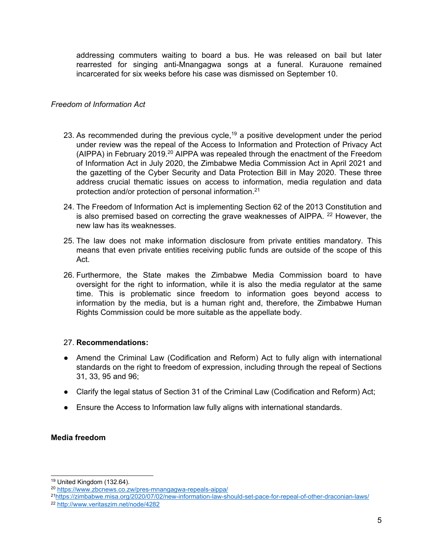addressing commuters waiting to board <sup>a</sup> bus. He was released on bail but later rearrested for singing anti-Mnangagwa songs at <sup>a</sup> funeral. Kurauone remained incarcerated for six weeks before his case was dismissed on September 10.

# *Freedom of Information Act*

- 23. As recommended during the previous cycle,<sup>19</sup> a positive development under the period under review was the repeal of the Access to Information and Protection of Privacy Act (AIPPA) in February 2019. $^{\rm 20}$  AIPPA was repealed through the enactment of the Freedom of Information Act in July 2020, the Zimbabwe Media Commission Act in April 2021 and the gazetting of the Cyber Security and Data Protection Bill in May 2020. These three address crucial thematic issues on access to information, media regulation and data protection and/or protection of personal information. $^{\mathrm{21}}$
- 24. The Freedom of Information Act is implementing Section 62 of the 2013 Constitution and is also premised based on correcting the grave weaknesses of AIPPA. <sup>22</sup> However, the new law has its weaknesses.
- 25. The law does not make information disclosure from private entities mandatory. This means that even private entities receiving public funds are outside of the scope of this Act.
- 26. Furthermore, the State makes the Zimbabwe Media Commission board to have oversight for the right to information, while it is also the media regulator at the same time. This is problematic since freedom to information goes beyond access to information by the media, but is <sup>a</sup> human right and, therefore, the Zimbabwe Human Rights Commission could be more suitable as the appellate body.

# 27. **Recommendations:**

- Amend the Criminal Law (Codification and Reform) Act to fully align with international standards on the right to freedom of expression, including through the repeal of Sections 31, 33, 95 and 96;
- Clarify the legal status of Section 31 of the Criminal Law (Codification and Reform) Act;
- Ensure the Access to Information law fully aligns with international standards.

# **Media freedom**

<sup>19</sup> United Kingdom (132.64).

<sup>20</sup> <https://www.zbcnews.co.zw/pres-mnangagwa-repeals-aippa/>

<sup>21</sup> <https://zimbabwe.misa.org/2020/07/02/new-information-law-should-set-pace-for-repeal-of-other-draconian-laws/>

<sup>22</sup> <http://www.veritaszim.net/node/4282>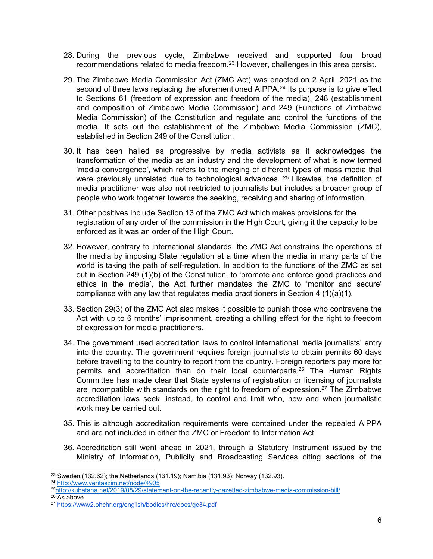- 28. During the previous cycle, Zimbabwe received and supported four broad recommendations related to media freedom. $^\mathrm{23}$  However, challenges in this area persist.
- 29. The Zimbabwe Media Commission Act (ZMC Act) was enacted on 2 April, 2021 as the second of three laws replacing the aforementioned AIPPA. 24 Its purpose is to give effect to Sections 61 (freedom of expression and freedom of the media), 248 (establishment and composition of Zimbabwe Media Commission) and 249 (Functions of Zimbabwe Media Commission) of the Constitution and regulate and control the functions of the media. It sets out the establishment of the Zimbabwe Media Commission (ZMC), established in Section 249 of the Constitution.
- 30. It has been [hailed](https://zimbabwe.misa.org/2021/04/23/analysis-of-the-newly-enacted-zimbabwe-media-commission-act/analysis-of-the-newly-enacted-zimbabwe-media-commission-act) as progressive by media activists as it acknowledges the transformation of the media as an industry and the development of what is now termed 'media convergence', which refers to the merging of different types of mass media that were previously unrelated due to technological advances. 25 Likewise, the definition of media practitioner was also not restricted to journalists but includes <sup>a</sup> broader group of people who work together towards the seeking, receiving and sharing of information.
- 31. Other positives include Section 13 of the ZMC Act which makes provisions for the registration of any order of the commission in the High Court, giving it the capacity to be enforced as it was an order of the High Court.
- 32. However, contrary to international standards, the ZMC Act constrains the operations of the media by imposing State regulation at <sup>a</sup> time when the media in many parts of the world is taking the path of self-regulation. In addition to the functions of the ZMC as set out in Section 249 (1)(b) of the Constitution, to 'promote and enforce good practices and ethics in the media', the Act further mandates the ZMC to 'monitor and secure' compliance with any law that regulates media practitioners in Section 4  $(1)(a)(1)$ .
- 33. Section 29(3) of the ZMC Act also makes it possible to punish those who contravene the Act with up to 6 months' imprisonment, creating <sup>a</sup> chilling effect for the right to freedom of expression for media practitioners.
- 34. The government used accreditation laws to control international media journalists' entry into the country. The government requires foreign journalists to obtain permits 60 days before travelling to the country to report from the country. Foreign reporters pay more for permits and accreditation than do their local counterparts. 26 The Human Rights Committee has made clear that State systems of registration or licensing of journalists are incompatible with standards on the right to freedom of expression.<sup>27</sup> The Zimbabwe accreditation laws seek, instead, to control and limit who, how and when journalistic work may be carried out.
- 35. This is although accreditation requirements were contained under the repealed AIPPA and are not included in either the ZMC or Freedom to Information Act.
- 36. Accreditation still went ahead in 2021, through <sup>a</sup> [Statutory](http://www.veritaszim.net/sites/veritas_d/files/SI%202021-022%20Access%20to%20Information%20and%20Protection%20of%20Privacy%20%28Registration%2C%20Accreditation%20and%20Levy%29%20%28Amendment%29%20Regulations%2C%202021%20%28No.%201%29.pdf) Instrument issued by the Ministry of Information, Publicity and Broadcasting Services citing sections of the

24 <http://www.veritaszim.net/node/4905>

 $26$  As above

<sup>&</sup>lt;sup>23</sup> Sweden (132.62); the Netherlands (131.19); Namibia (131.93); Norway (132.93).

<sup>25</sup> <http://kubatana.net/2019/08/29/statement-on-the-recently-gazetted-zimbabwe-media-commission-bill/>

<sup>27</sup> <https://www2.ohchr.org/english/bodies/hrc/docs/gc34.pdf>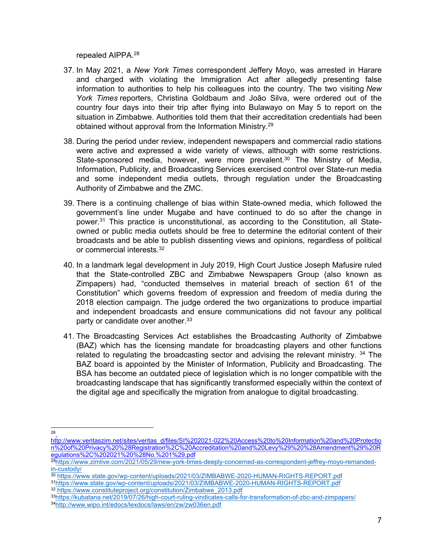repealed AIPPA. 28

- 37. In May 2021, <sup>a</sup> *New York Times* correspondent Jeffery Moyo, was arrested in Harare and charged with violating the Immigration Act after allegedly presenting false information to authorities to help his colleagues into the country. The two visiting *New York Times* reporters, Christina Goldbaum and João Silva, were ordered out of the country four days into their trip after flying into Bulawayo on May 5 to report on the situation in Zimbabwe. Authorities told them that their accreditation credentials had been obtained without approval from the Information Ministry. 29
- 38. During the period under review, independent newspapers and commercial radio stations were active and expressed <sup>a</sup> wide variety of views, although with some restrictions. State-sponsored media, however, were more prevalent.<sup>30</sup> The Ministry of Media, Information, Publicity, and Broadcasting Services exercised control over State-run media and some independent media outlets, through regulation under the Broadcasting Authority of Zimbabwe and the ZMC.
- 39. There is <sup>a</sup> continuing challenge of bias within State-owned media, which followed the government'<sup>s</sup> line under Mugabe and have continued to do so after the change in power.<sup>31</sup> This practice is unconstitutional, as according to the Constitution, all Stateowned or public media outlets should be free to determine the editorial content of their broadcasts and be able to publish dissenting views and opinions, regardless of political or commercial interests. 32
- 40. In <sup>a</sup> landmark legal development in July 2019, High Court Justice Joseph Mafusire ruled that the State-controlled ZBC and Zimbabwe Newspapers Group (also known as Zimpapers) had, "conducted themselves in material breach of section 61 of the Constitution" which governs freedom of expression and freedom of media during the 2018 election campaign. The judge ordered the two organizations to produce impartial and independent broadcasts and ensure communications did not favour any political party or candidate over another.<sup>33</sup>
- 41. The Broadcasting Services Act establishes the Broadcasting Authority of Zimbabwe (BAZ) which has the licensing mandate for broadcasting players and other functions related to regulating the broadcasting sector and advising the relevant ministry. <sup>34</sup> The BAZ board is appointed by the Minister of Information, Publicity and Broadcasting. The BSA has become an outdated piece of legislation which is no longer compatible with the broadcasting landscape that has significantly transformed especially within the context of the digital age and specifically the migration from analogue to digital broadcasting.

<sup>28</sup>

[http://www.veritaszim.net/sites/veritas\\_d/files/SI%202021-022%20Access%20to%20Information%20and%20Protectio](http://www.veritaszim.net/sites/veritas_d/files/SI%202021-022%20Access%20to%20Information%20and%20Protection%20of%20Privacy%20%28Registration%2C%20Accreditation%20and%20Levy%29%20%28Amendment%29%20Regulations%2C%202021%20%28No.%201%29.pdf) [n%20of%20Privacy%20%28Registration%2C%20Accreditation%20and%20Levy%29%20%28Amendment%29%20R](http://www.veritaszim.net/sites/veritas_d/files/SI%202021-022%20Access%20to%20Information%20and%20Protection%20of%20Privacy%20%28Registration%2C%20Accreditation%20and%20Levy%29%20%28Amendment%29%20Regulations%2C%202021%20%28No.%201%29.pdf)

[egulations%2C%202021%20%28No.%201%29.pdf](http://www.veritaszim.net/sites/veritas_d/files/SI%202021-022%20Access%20to%20Information%20and%20Protection%20of%20Privacy%20%28Registration%2C%20Accreditation%20and%20Levy%29%20%28Amendment%29%20Regulations%2C%202021%20%28No.%201%29.pdf)<br><sup>29</sup>[https://www.zimlive.com/2021/05/29/new-york-times-deeply-concerned-as-correspondent-jeffrey-moyo-remanded](https://www.zimlive.com/2021/05/29/new-york-times-deeply-concerned-as-correspondent-jeffrey-moyo-remanded-in-custody/)[in-custody/](https://www.zimlive.com/2021/05/29/new-york-times-deeply-concerned-as-correspondent-jeffrey-moyo-remanded-in-custody/)

<sup>30</sup> <https://www.state.gov/wp-content/uploads/2021/03/ZIMBABWE-2020-HUMAN-RIGHTS-REPORT.pdf>

<sup>31</sup> <https://www.state.gov/wp-content/uploads/2021/03/ZIMBABWE-2020-HUMAN-RIGHTS-REPORT.pdf>

<sup>32</sup> [https://www.constituteproject.org/constitution/Zimbabwe\\_2013.pdf](https://www.constituteproject.org/constitution/Zimbabwe_2013.pdf)

<sup>33</sup> <https://kubatana.net/2019/07/26/high-court-ruling-vindicates-calls-for-transformation-of-zbc-and-zimpapers/> 34 <http://www.wipo.int/edocs/lexdocs/laws/en/zw/zw036en.pdf>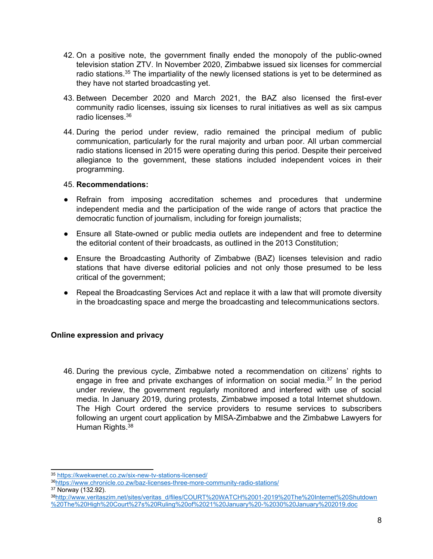- 42. On <sup>a</sup> positive note, the government finally ended the monopoly of the public-owned television station ZTV. In November 2020, Zimbabwe issued six licenses for commercial radio stations.<sup>35</sup> The impartiality of the newly licensed stations is yet to be determined as they have not started broadcasting yet.
- 43. Between December 2020 and March 2021, the BAZ also licensed the first-ever community radio licenses, issuing six licenses to rural initiatives as well as six campus radio licenses. 36
- 44. During the period under review, radio remained the principal medium of public communication, particularly for the rural majority and urban poor. All urban commercial radio stations licensed in 2015 were operating during this period. Despite their perceived allegiance to the government, these stations included independent voices in their programming.

- Refrain from imposing accreditation schemes and procedures that undermine independent media and the participation of the wide range of actors that practice the democratic function of journalism, including for foreign journalists;
- Ensure all State-owned or public media outlets are independent and free to determine the editorial content of their broadcasts, as outlined in the 2013 Constitution;
- Ensure the Broadcasting Authority of Zimbabwe (BAZ) licenses television and radio stations that have diverse editorial policies and not only those presumed to be less critical of the government;
- Repeal the Broadcasting Services Act and replace it with <sup>a</sup> law that will promote diversity in the broadcasting space and merge the broadcasting and telecommunications sectors.

# **Online expression and privacy**

46. During the previous cycle, Zimbabwe noted <sup>a</sup> recommendation on citizens' rights to engage in free and private exchanges of information on social media.<sup>37</sup> In the period under review, the government regularly monitored and interfered with use of social media. In January 2019, during protests, Zimbabwe imposed <sup>a</sup> total Internet shutdown. The High Court ordered the service providers to resume services to subscribers following an urgent court application by MISA-Zimbabwe and the Zimbabwe Lawyers for Human Rights. 38

38 [http://www.veritaszim.net/sites/veritas\\_d/files/COURT%20WATCH%2001-2019%20The%20Internet%20Shutdown](http://www.veritaszim.net/sites/veritas_d/files/COURT%20WATCH%2001-2019%20The%20Internet%20Shutdown%20The%20High%20Court%27s%20Ruling%20of%2021%20January%20-%2030%20January%202019.doc) [%20The%20High%20Court%27s%20Ruling%20of%2021%20January%20-%2030%20January%202019.doc](http://www.veritaszim.net/sites/veritas_d/files/COURT%20WATCH%2001-2019%20The%20Internet%20Shutdown%20The%20High%20Court%27s%20Ruling%20of%2021%20January%20-%2030%20January%202019.doc)

<sup>35</sup> <https://kwekwenet.co.zw/six-new-tv-stations-licensed/>

<sup>36</sup> <https://www.chronicle.co.zw/baz-licenses-three-more-community-radio-stations/>

<sup>37</sup> Norway (132.92).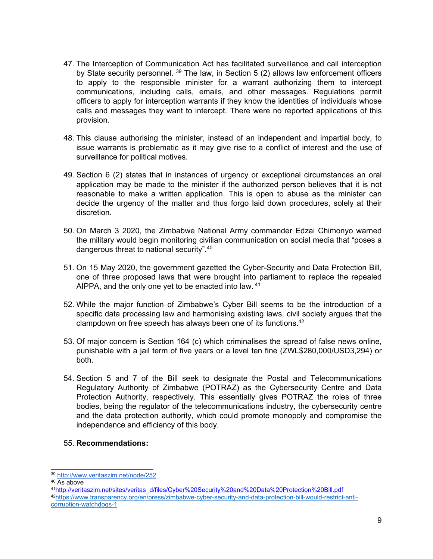- 47. The Interception of Communication Act has facilitated surveillance and call interception by State security personnel. <sup>39</sup> The law, in Section 5 (2) allows law enforcement officers to apply to the responsible minister for <sup>a</sup> warrant authorizing them to intercept communications, including calls, emails, and other messages. Regulations permit officers to apply for interception warrants if they know the identities of individuals whose calls and messages they want to intercept. There were no reported applications of this provision.
- 48. This clause authorising the minister, instead of an independent and impartial body, to issue warrants is problematic as it may give rise to <sup>a</sup> conflict of interest and the use of surveillance for political motives.
- 49. Section 6 (2) states that in instances of urgency or exceptional circumstances an oral application may be made to the minister if the authorized person believes that it is not reasonable to make <sup>a</sup> written application. This is open to abuse as the minister can decide the urgency of the matter and thus forgo laid down procedures, solely at their discretion.
- 50. On March 3 2020, the Zimbabwe National Army commander Edzai Chimonyo warned the military would begin monitoring civilian communication on social media that "poses <sup>a</sup> dangerous threat to national security". 40
- 51. On 15 May 2020, the government gazetted the Cyber-Security and Data Protection Bill, one of three proposed laws that were brought into parliament to replace the repealed AIPPA, and the only one yet to be enacted into law. <sup>41</sup>
- 52. While the major function of Zimbabwe'<sup>s</sup> Cyber Bill seems to be the introduction of <sup>a</sup> specific data processing law and harmonising existing laws, civil society argues that the clampdown on free speech has always been one of its functions. 42
- 53. Of major concern is Section 164 (c) which criminalises the spread of false news online, punishable with <sup>a</sup> jail term of five years or <sup>a</sup> level ten fine (ZWL\$280,000/USD3,294) or both.
- 54. Section 5 and 7 of the Bill seek to designate the Postal and Telecommunications Regulatory Authority of Zimbabwe (POTRAZ) as the Cybersecurity Centre and Data Protection Authority, respectively. This essentially gives POTRAZ the roles of three bodies, being the regulator of the telecommunications industry, the cybersecurity centre and the data protection authority, which could promote monopoly and compromise the independence and efficiency of this body.

<sup>39</sup> <http://www.veritaszim.net/node/252>

<sup>40</sup> As above

<sup>41</sup> [http://veritaszim.net/sites/veritas\\_d/files/Cyber%20Security%20and%20Data%20Protection%20Bill.pdf](http://veritaszim.net/sites/veritas_d/files/Cyber%20Security%20and%20Data%20Protection%20Bill.pdf)

<sup>42</sup> [https://www.transparency.org/en/press/zimbabwe-cyber-security-and-data-protection-bill-would-restrict-anti](https://www.transparency.org/en/press/zimbabwe-cyber-security-and-data-protection-bill-would-restrict-anti-corruption-watchdogs-1)[corruption-watchdogs-1](https://www.transparency.org/en/press/zimbabwe-cyber-security-and-data-protection-bill-would-restrict-anti-corruption-watchdogs-1)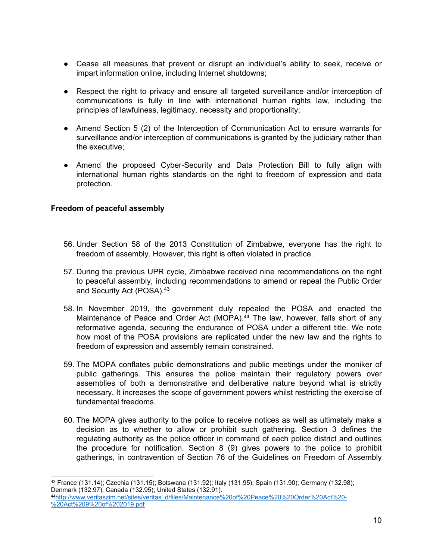- Cease all measures that prevent or disrupt an individual's ability to seek, receive or impart information online, including Internet shutdowns;
- Respect the right to privacy and ensure all targeted surveillance and/or interception of communications is fully in line with international human rights law, including the principles of lawfulness, legitimacy, necessity and proportionality;
- Amend Section 5 (2) of the Interception of Communication Act to ensure warrants for surveillance and/or interception of communications is granted by the judiciary rather than the executive;
- Amend the proposed Cyber-Security and Data Protection Bill to fully align with international human rights standards on the right to freedom of expression and data protection.

# **Freedom of peaceful assembly**

- 56. Under Section 58 of the 2013 Constitution of Zimbabwe, everyone has the right to freedom of assembly. However, this right is often violated in practice.
- 57. During the previous UPR cycle, Zimbabwe received nine recommendations on the right to peaceful assembly, including recommendations to amend or repeal the Public Order and Security Act (POSA). 43
- 58. In November 2019, the government duly repealed the POSA and enacted the Maintenance of Peace and Order Act (MOPA). 44 The law, however, falls short of any reformative agenda, securing the endurance of POSA under <sup>a</sup> different title. We note how most of the POSA provisions are replicated under the new law and the rights to freedom of expression and assembly remain constrained.
- 59. The MOPA conflates public demonstrations and public meetings under the moniker of public gatherings. This ensures the police maintain their regulatory powers over assemblies of both <sup>a</sup> demonstrative and deliberative nature beyond what is strictly necessary. It increases the scope of government powers whilst restricting the exercise of fundamental freedoms.
- 60. The MOPA gives authority to the police to receive notices as well as ultimately make <sup>a</sup> decision as to whether to allow or prohibit such gathering. Section 3 defines the regulating authority as the police officer in command of each police district and outlines the procedure for notification. Section 8 (9) gives powers to the police to prohibit gatherings, in contravention of Section 76 of the Guidelines on Freedom of Assembly

<sup>43</sup> France (131.14); Czechia (131.15); Botswana (131.92); Italy (131.95); Spain (131.90); Germany (132.98); Denmark (132.97); Canada (132.95); United States (132.91).

<sup>44</sup> [http://www.veritaszim.net/sites/veritas\\_d/files/Maintenance%20of%20Peace%20%20Order%20Act%20-](http://www.veritaszim.net/sites/veritas_d/files/Maintenance%20of%20Peace%20%20Order%20Act%20-%20Act%209%20of%202019.pdf) [%20Act%209%20of%202019.pdf](http://www.veritaszim.net/sites/veritas_d/files/Maintenance%20of%20Peace%20%20Order%20Act%20-%20Act%209%20of%202019.pdf)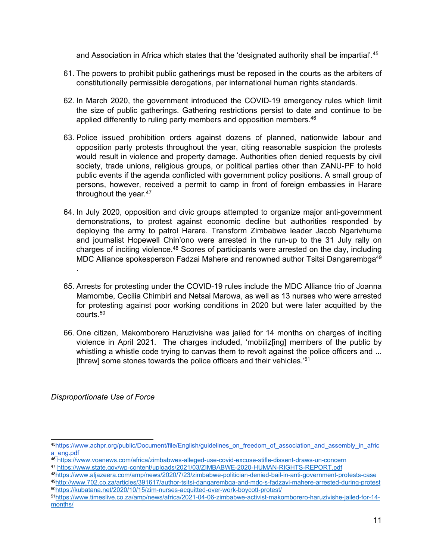and Association in Africa which states that the 'designated authority shall be impartial'. 45

- 61. The powers to prohibit public gatherings must be reposed in the courts as the arbiters of constitutionally permissible derogations, per international human rights standards.
- 62. In March 2020, the government introduced the COVID-19 emergency rules which limit the size of public gatherings. Gathering restrictions persist to date and continue to be applied differently to ruling party members and opposition members. 46
- 63. Police issued prohibition orders against dozens of planned, nationwide labour and opposition party protests throughout the year, citing reasonable suspicion the protests would result in violence and property damage. Authorities often denied requests by civil society, trade unions, religious groups, or political parties other than ZANU-PF to hold public events if the agenda conflicted with government policy positions. A small group of persons, however, received <sup>a</sup> permit to camp in front of foreign embassies in Harare throughout the year. 47
- 64. In July 2020, opposition and civic groups attempted to organize major anti-government demonstrations, to protest against economic decline but authorities responded by deploying the army to patrol Harare. Transform Zimbabwe leader Jacob Ngarivhume and journalist Hopewell Chin'ono were arrested in the run-up to the 31 July rally on charges of inciting violence.<sup>48</sup> Scores of participants were arrested on the day, including MDC Alliance spokesperson Fadzai Mahere and renowned author Tsitsi Dangarembga<sup>49</sup>
- 65. Arrests for protesting under the COVID-19 rules include the MDC Alliance trio of Joanna Mamombe, Cecilia Chimbiri and Netsai Marowa, as well as 13 nurses who were arrested for protesting against poor working conditions in 2020 but were later acquitted by the courts. 50
- 66. One citizen, Makomborero Haruzivishe was jailed for 14 months on charges of inciting violence in April 2021. The charges included, 'mobiliz[ing] members of the public by whistling a whistle code trying to canvas them to revolt against the police officers and ... [threw] some stones towards the police officers and their vehicles.' 51

*Disproportionate Use of Force*

.

<sup>45</sup> [https://www.achpr.org/public/Document/file/English/guidelines\\_on\\_freedom\\_of\\_association\\_and\\_assembly\\_in\\_afric](https://www.achpr.org/public/Document/file/English/guidelines_on_freedom_of_association_and_assembly_in_africa_eng.pdf)

[a\\_eng.pdf](https://www.achpr.org/public/Document/file/English/guidelines_on_freedom_of_association_and_assembly_in_africa_eng.pdf)<br><sup>46</sup> <https://www.voanews.com/africa/zimbabwes-alleged-use-covid-excuse-stifle-dissent-draws-un-concern>

<sup>47</sup> <https://www.state.gov/wp-content/uploads/2021/03/ZIMBABWE-2020-HUMAN-RIGHTS-REPORT.pdf>

<sup>48</sup> <https://www.aljazeera.com/amp/news/2020/7/23/zimbabwe-politician-denied-bail-in-anti-government-protests-case> 49 <http://www.702.co.za/articles/391617/author-tsitsi-dangarembga-and-mdc-s-fadzayi-mahere-arrested-during-protest> 50 <https://kubatana.net/2020/10/15/zim-nurses-acquitted-over-work-boycott-protest/>

<sup>51</sup> [https://www.timeslive.co.za/amp/news/africa/2021-04-06-zimbabwe-activist-makomborero-haruzivishe-jailed-for-14](https://www.timeslive.co.za/amp/news/africa/2021-04-06-zimbabwe-activist-makomborero-haruzivishe-jailed-for-14-months/) [months/](https://www.timeslive.co.za/amp/news/africa/2021-04-06-zimbabwe-activist-makomborero-haruzivishe-jailed-for-14-months/)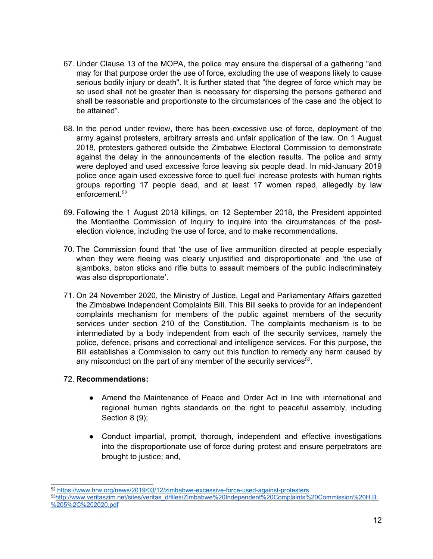- 67. Under Clause 13 of the MOPA, the police may ensure the dispersal of <sup>a</sup> gathering "and may for that purpose order the use of force, excluding the use of weapons likely to cause serious bodily injury or death". It is further stated that "the degree of force which may be so used shall not be greater than is necessary for dispersing the persons gathered and shall be reasonable and proportionate to the circumstances of the case and the object to be attained".
- 68. In the period under review, there has been excessive use of force, deployment of the army against protesters, arbitrary arrests and unfair application of the law. On 1 August 2018, protesters gathered outside the Zimbabwe Electoral Commission to demonstrate against the delay in the announcements of the election results. The police and army were deployed and used excessive force leaving six people dead. In mid-January 2019 police once again used excessive force to quell fuel increase protests with human rights groups reporting 17 people dead, and at least 17 women raped, allegedly by law enforcement. 52
- 69. Following the 1 August 2018 killings, on 12 September 2018, the President appointed the Montlanthe Commission of Inquiry to inquire into the circumstances of the postelection violence, including the use of force, and to make recommendations.
- 70. The Commission found that 'the use of live ammunition directed at people especially when they were fleeing was clearly unjustified and disproportionate' and 'the use of sjamboks, baton sticks and rifle butts to assault members of the public indiscriminately was also disproportionate'.
- 71. On 24 November 2020, the Ministry of Justice, Legal and Parliamentary Affairs gazetted the Zimbabwe Independent Complaints Bill. This Bill seeks to provide for an independent complaints mechanism for members of the public against members of the security services under section 210 of the Constitution. The complaints mechanism is to be intermediated by <sup>a</sup> body independent from each of the security services, namely the police, defence, prisons and correctional and intelligence services. For this purpose, the Bill establishes <sup>a</sup> Commission to carry out this function to remedy any harm caused by any misconduct on the part of any member of the security services $^{\rm 53}$ .

- Amend the Maintenance of Peace and Order Act in line with international and regional human rights standards on the right to peaceful assembly, including Section 8 (9);
- ● Conduct impartial, prompt, thorough, independent and effective investigations into the disproportionate use of force during protest and ensure perpetrators are brought to justice; and,

<sup>52</sup> <https://www.hrw.org/news/2019/03/12/zimbabwe-excessive-force-used-against-protesters> <sup>53</sup>[http://www.veritaszim.net/sites/veritas\\_d/files/Zimbabwe%20Independent%20Complaints%20Commission%20H.B.](http://www.veritaszim.net/sites/veritas_d/files/Zimbabwe%20Independent%20Complaints%20Commission%20H.B.%205%2C%202020.pdf) [%205%2C%202020.pdf](http://www.veritaszim.net/sites/veritas_d/files/Zimbabwe%20Independent%20Complaints%20Commission%20H.B.%205%2C%202020.pdf)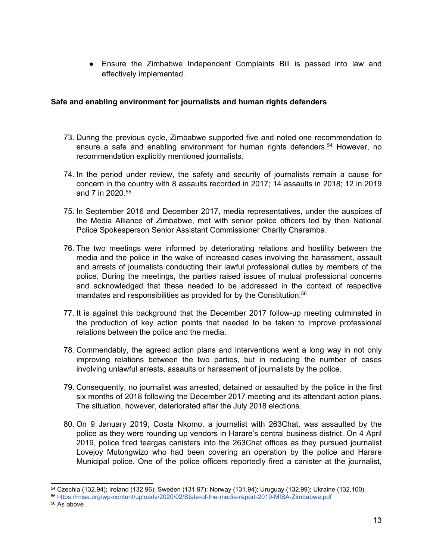● Ensure the Zimbabwe Independent Complaints Bill is passed into law and effectively implemented.

# **Safe and enabling environment for journalists and human rights defenders**

- 73. During the previous cycle, Zimbabwe supported five and noted one recommendation to ensure <sup>a</sup> safe and enabling environment for human rights defenders. <sup>54</sup> However, no recommendation explicitly mentioned journalists.
- 74. In the period under review, the safety and security of journalists remain <sup>a</sup> cause for concern in the country with 8 assaults recorded in 2017; 14 assaults in 2018; 12 in 2019 and 7 in 2020. 55
- 75. In September 2016 and December 2017, media representatives, under the auspices of the Media Alliance of Zimbabwe, met with senior police officers led by then National Police Spokesperson Senior Assistant Commissioner Charity Charamba.
- 76. The two meetings were informed by deteriorating relations and hostility between the media and the police in the wake of increased cases involving the harassment, assault and arrests of journalists conducting their lawful professional duties by members of the police. During the meetings, the parties raised issues of mutual professional concerns and acknowledged that these needed to be addressed in the context of respective mandates and responsibilities as provided for by the Constitution. 56
- 77. It is against this background that the December 2017 follow-up meeting culminated in the production of key action points that needed to be taken to improve professional relations between the police and the media.
- 78. Commendably, the agreed action plans and interventions went <sup>a</sup> long way in not only improving relations between the two parties, but in reducing the number of cases involving unlawful arrests, assaults or harassment of journalists by the police.
- 79. Consequently, no journalist was arrested, detained or assaulted by the police in the first six months of 2018 following the December 2017 meeting and its attendant action plans. The situation, however, deteriorated after the July 2018 elections.
- 80. On 9 January 2019, Costa Nkomo, <sup>a</sup> journalist with 263Chat, was assaulted by the police as they were rounding up vendors in Harare'<sup>s</sup> central business district. On 4 April 2019, police fired teargas canisters into the 263Chat offices as they pursued journalist Lovejoy Mutongwizo who had been covering an operation by the police and Harare Municipal police. One of the police officers reportedly fired <sup>a</sup> canister at the journalist,

<sup>54</sup> Czechia (132.94); Ireland (132.96); Sweden (131.97); Norway (131.94); Uruguay (132.99); Ukraine (132.100).

<sup>55</sup> <https://misa.org/wp-content/uploads/2020/02/State-of-the-media-report-2019-MISA-Zimbabwe.pdf>

<sup>56</sup> As above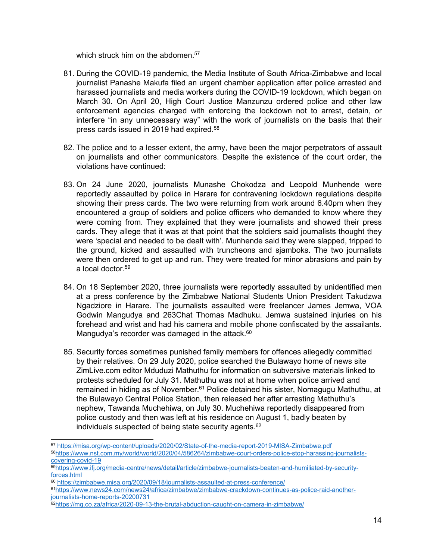which struck him on the abdomen. 57

- 81. During the COVID-19 pandemic, the Media Institute of South Africa-Zimbabwe and local journalist Panashe Makufa filed an urgent chamber application after police arrested and harassed journalists and media workers during the COVID-19 lockdown, which began on March 30. On April 20, High Court Justice Manzunzu ordered police and other law enforcement agencies charged with enforcing the lockdown not to arrest, detain, or interfere "in any unnecessary way" with the work of journalists on the basis that their press cards issued in 2019 had expired. 58
- 82. The police and to <sup>a</sup> lesser extent, the army, have been the major perpetrators of assault on journalists and other communicators. Despite the existence of the court order, the violations have continued:
- 83. On 24 June 2020, journalists Munashe Chokodza and Leopold Munhende were reportedly assaulted by police in Harare for contravening lockdown regulations despite showing their press cards. The two were returning from work around 6.40pm when they encountered <sup>a</sup> group of soldiers and police officers who demanded to know where they were coming from. They explained that they were journalists and showed their press cards. They allege that it was at that point that the soldiers said journalists thought they were 'special and needed to be dealt with'. Munhende said they were slapped, tripped to the ground, kicked and assaulted with truncheons and sjamboks. The two journalists were then ordered to get up and run. They were treated for minor abrasions and pain by a local doctor. 59
- 84. On 18 September 2020, three journalists were reportedly assaulted by unidentified men at <sup>a</sup> press conference by the Zimbabwe National Students Union President Takudzwa Ngadziore in Harare. The journalists assaulted were freelancer James Jemwa, VOA Godwin Mangudya and 263Chat Thomas Madhuku. Jemwa sustained injuries on his forehead and wrist and had his camera and mobile phone confiscated by the assailants. Mangudya'<sup>s</sup> recorder was damaged in the attack. 60
- 85. Security forces sometimes punished family members for offences allegedly committed by their relatives. On 29 July 2020, police searched the Bulawayo home of news site ZimLive.com editor Mduduzi Mathuthu for information on subversive materials linked to protests scheduled for July 31. Mathuthu was not at home when police arrived and remained in hiding as of November.<sup>61</sup> Police detained his sister, Nomagugu Mathuthu, at the Bulawayo Central Police Station, then released her after arresting Mathuthu'<sup>s</sup> nephew, Tawanda Muchehiwa, on July 30. Muchehiwa reportedly disappeared from police custody and then was left at his residence on August 1, badly beaten by individuals suspected of being state security agents. 62

<sup>&</sup>lt;sup>57</sup> <https://misa.org/wp-content/uploads/2020/02/State-of-the-media-report-2019-MISA-Zimbabwe.pdf> 58 [https://www.nst.com.my/world/world/2020/04/586264/zimbabwe-court-orders-police-stop-harassing-journalists](https://www.nst.com.my/world/world/2020/04/586264/zimbabwe-court-orders-police-stop-harassing-journalists-covering-covid-19)[covering-covid-19](https://www.nst.com.my/world/world/2020/04/586264/zimbabwe-court-orders-police-stop-harassing-journalists-covering-covid-19)

<sup>59</sup> [https://www.ifj.org/media-centre/news/detail/article/zimbabwe-journalists-beaten-and-humiliated-by-security](https://www.ifj.org/media-centre/news/detail/article/zimbabwe-journalists-beaten-and-humiliated-by-security-forces.html)[forces.html](https://www.ifj.org/media-centre/news/detail/article/zimbabwe-journalists-beaten-and-humiliated-by-security-forces.html)

<sup>60</sup> <https://zimbabwe.misa.org/2020/09/18/journalists-assaulted-at-press-conference/>

<sup>61</sup> [https://www.news24.com/news24/africa/zimbabwe/zimbabwe-crackdown-continues-as-police-raid-another](https://www.news24.com/news24/africa/zimbabwe/zimbabwe-crackdown-continues-as-police-raid-another-journalists-home-reports-20200731)[journalists-home-reports-20200731](https://www.news24.com/news24/africa/zimbabwe/zimbabwe-crackdown-continues-as-police-raid-another-journalists-home-reports-20200731)

<sup>62</sup> <https://mg.co.za/africa/2020-09-13-the-brutal-abduction-caught-on-camera-in-zimbabwe/>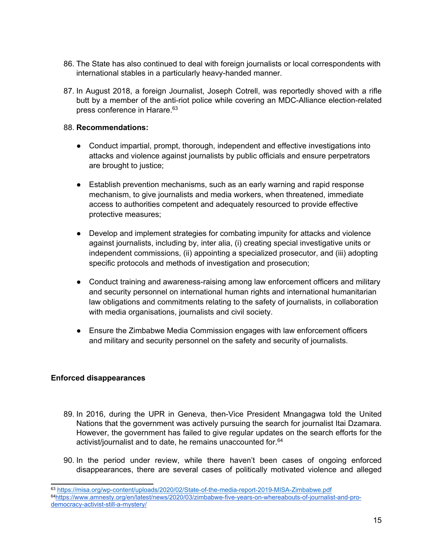- 86. The State has also continued to deal with foreign journalists or local correspondents with international stables in <sup>a</sup> particularly heavy-handed manner.
- 87. In August 2018, <sup>a</sup> foreign Journalist, Joseph Cotrell, was reportedly shoved with <sup>a</sup> rifle butt by <sup>a</sup> member of the anti-riot police while covering an MDC-Alliance election-related press conference in Harare. 63

- Conduct impartial, prompt, thorough, independent and effective investigations into attacks and violence against journalists by public officials and ensure perpetrators are brought to justice;
- $\bullet$  Establish prevention mechanisms, such as an early warning and rapid response mechanism, to give journalists and media workers, when threatened, immediate access to authorities competent and adequately resourced to provide effective protective measures;
- Develop and implement strategies for combating impunity for attacks and violence against journalists, including by, inter alia, (i) creating special investigative units or independent commissions, (ii) appointing <sup>a</sup> specialized prosecutor, and (iii) adopting specific protocols and methods of investigation and prosecution;
- Conduct training and awareness-raising among law enforcement officers and military and security personnel on international human rights and international humanitarian law obligations and commitments relating to the safety of journalists, in collaboration with media organisations, journalists and civil society.
- Ensure the Zimbabwe Media Commission engages with law enforcement officers and military and security personnel on the safety and security of journalists.

# **Enforced disappearances**

- 89. In 2016, during the UPR in Geneva, then-Vice President Mnangagwa told the United Nations that the government was actively pursuing the search for journalist Itai Dzamara. However, the government has failed to give regular updates on the search efforts for the activist/journalist and to date, he remains unaccounted for. 64
- 90. In the period under review, while there haven't been cases of ongoing enforced disappearances, there are several cases of politically motivated violence and alleged

<sup>63</sup> <https://misa.org/wp-content/uploads/2020/02/State-of-the-media-report-2019-MISA-Zimbabwe.pdf> 64 [https://www.amnesty.org/en/latest/news/2020/03/zimbabwe-five-years-on-whereabouts-of-journalist-and-pro](https://www.amnesty.org/en/latest/news/2020/03/zimbabwe-five-years-on-whereabouts-of-journalist-and-pro-democracy-activist-still-a-mystery/)[democracy-activist-still-a-mystery/](https://www.amnesty.org/en/latest/news/2020/03/zimbabwe-five-years-on-whereabouts-of-journalist-and-pro-democracy-activist-still-a-mystery/)